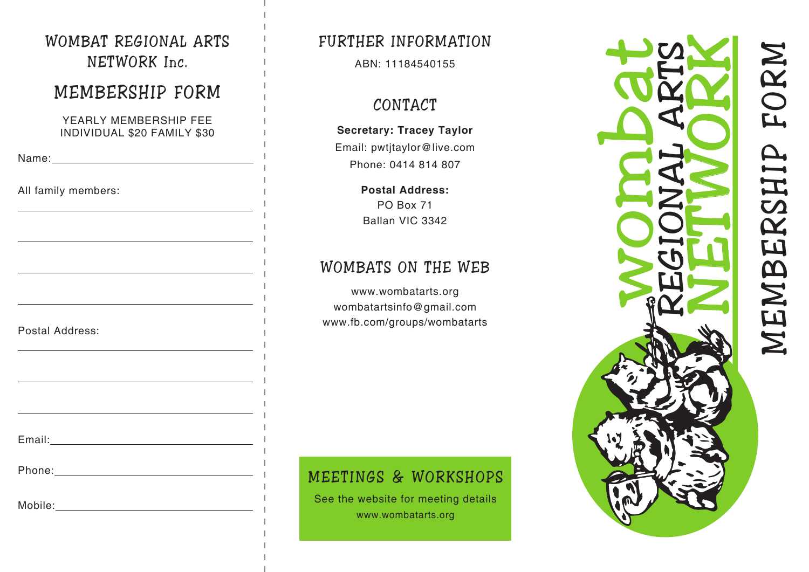### WOMBAT REGIONAL ARTS NETWORK Inc.

# MEMBERSHIP FORM

YEARLY MEMBERSHIP FEE INDIVIDUAL \$20 FAMILY \$30

Email: **Email: Email: Email: Email: Email: Email: Email: Email: Email: Email: Email: Email: EMA** 

Name: when the contract of the contract of the contract of the contract of the contract of the contract of the contract of the contract of the contract of the contract of the contract of the contract of the contract of the

 $\overline{a}$ 

 $\overline{a}$ 

 $\overline{a}$ 

 $\overline{a}$ 

 $\overline{a}$ 

 $\overline{a}$ 

 $\overline{a}$ 

All family members:

Postal Address:

Phone: with the contract of the contract of the contract of the contract of the contract of the contract of the contract of the contract of the contract of the contract of the contract of the contract of the contract of th

### Mobile:

### FURTHER INFORMATION

ABN: 11184540155

# CONTACT

# **Secretary: Tracey Taylor**

Email: pwtjtaylor@live.com Phone: 0414 814 807

> **Postal Address:** PO Box 71 Ballan VIC 3342

# WOMBATS ON THE WEB

www.wombatarts.org wombatartsinfo@gmail.com www.fb.com/groups/wombatarts

### MEETINGS & WORKSHOPS

See the website for meeting details www.wombatarts.org